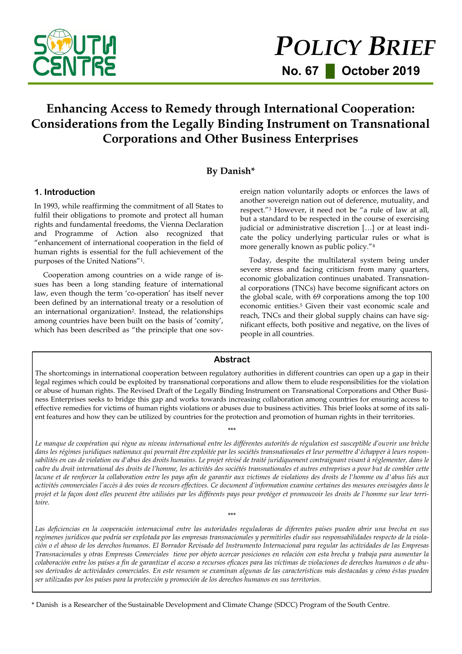

# **Enhancing Access to Remedy through International Cooperation: Considerations from the Legally Binding Instrument on Transnational Corporations and Other Business Enterprises**

# **By Danish\***

#### **1. Introduction**

In 1993, while reaffirming the commitment of all States to fulfil their obligations to promote and protect all human rights and fundamental freedoms, the Vienna Declaration and Programme of Action also recognized that "enhancement of international cooperation in the field of human rights is essential for the full achievement of the purposes of the United Nations"1.

Cooperation among countries on a wide range of issues has been a long standing feature of international law, even though the term 'co-operation' has itself never been defined by an international treaty or a resolution of an international organization2. Instead, the relationships among countries have been built on the basis of 'comity', which has been described as "the principle that one sovereign nation voluntarily adopts or enforces the laws of another sovereign nation out of deference, mutuality, and respect."<sup>3</sup> However, it need not be "a rule of law at all, but a standard to be respected in the course of exercising judicial or administrative discretion […] or at least indicate the policy underlying particular rules or what is more generally known as public policy."<sup>4</sup>

Today, despite the multilateral system being under severe stress and facing criticism from many quarters, economic globalization continues unabated. Transnational corporations (TNCs) have become significant actors on the global scale, with 69 corporations among the top 100 economic entities.<sup>5</sup> Given their vast economic scale and reach, TNCs and their global supply chains can have significant effects, both positive and negative, on the lives of people in all countries.

#### **Abstract**

The shortcomings in international cooperation between regulatory authorities in different countries can open up a gap in their legal regimes which could be exploited by transnational corporations and allow them to elude responsibilities for the violation or abuse of human rights. The Revised Draft of the Legally Binding Instrument on Transnational Corporations and Other Business Enterprises seeks to bridge this gap and works towards increasing collaboration among countries for ensuring access to effective remedies for victims of human rights violations or abuses due to business activities. This brief looks at some of its salient features and how they can be utilized by countries for the protection and promotion of human rights in their territories.

\*\*\*

*Le manque de coopération qui règne au niveau international entre les différentes autorités de régulation est susceptible d'ouvrir une brèche dans les régimes juridiques nationaux qui pourrait être exploitée par les sociétés transnationales et leur permettre d'échapper à leurs respon*sabilités en cas de violation ou d'abus des droits humains. Le projet révisé de traité juridiquement contraignant visant à réglementer, dans le *cadre du droit international des droits de l'homme, les activités des sociétés transnationales et autres entreprises a pour but de combler cette lacune et de renforcer la collaboration entre les pays afin de garantir aux victimes de violations des droits de l'homme ou d'abus liés aux activités commerciales l'accès à des voies de recours effectives. Ce document d'information examine certaines des mesures envisagées dans le projet et la façon dont elles peuvent être utilisées par les différents pays pour protéger et promouvoir les droits de l'homme sur leur territoire.*

*Las deficiencias en la cooperación internacional entre las autoridades reguladoras de diferentes países pueden abrir una brecha en sus regímenes jurídicos que podría ser explotada por las empresas transnacionales y permitirles eludir sus responsabilidades respecto de la violación o el abuso de los derechos humanos. El Borrador Revisado del Instrumento Internacional para regular las actividades de las Empresas Transnacionales y otras Empresas Comerciales tiene por objeto acercar posiciones en relación con esta brecha y trabaja para aumentar la colaboración entre los países a fin de garantizar el acceso a recursos eficaces para las víctimas de violaciones de derechos humanos o de abusos derivados de actividades comerciales. En este resumen se examinan algunas de las características más destacadas y cómo éstas pueden ser utilizadas por los países para la protección y promoción de los derechos humanos en sus territorios.*

\*\*\*

\* Danish is a Researcher of the Sustainable Development and Climate Change (SDCC) Program of the South Centre.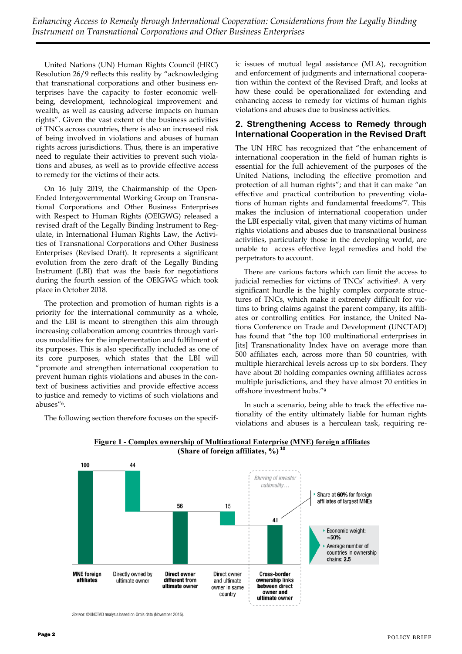United Nations (UN) Human Rights Council (HRC) Resolution 26/9 reflects this reality by "acknowledging that transnational corporations and other business enterprises have the capacity to foster economic wellbeing, development, technological improvement and wealth, as well as causing adverse impacts on human rights". Given the vast extent of the business activities of TNCs across countries, there is also an increased risk of being involved in violations and abuses of human rights across jurisdictions. Thus, there is an imperative need to regulate their activities to prevent such violations and abuses, as well as to provide effective access to remedy for the victims of their acts.

On 16 July 2019, the Chairmanship of the Open-Ended Intergovernmental Working Group on Transnational Corporations and Other Business Enterprises with Respect to Human Rights (OEIGWG) released a revised draft of the Legally Binding Instrument to Regulate, in International Human Rights Law, the Activities of Transnational Corporations and Other Business Enterprises (Revised Draft). It represents a significant evolution from the zero draft of the Legally Binding Instrument (LBI) that was the basis for negotiations during the fourth session of the OEIGWG which took place in October 2018.

The protection and promotion of human rights is a priority for the international community as a whole, and the LBI is meant to strengthen this aim through increasing collaboration among countries through various modalities for the implementation and fulfilment of its purposes. This is also specifically included as one of its core purposes, which states that the LBI will "promote and strengthen international cooperation to prevent human rights violations and abuses in the context of business activities and provide effective access to justice and remedy to victims of such violations and abuses"6.

The following section therefore focuses on the specif-

ic issues of mutual legal assistance (MLA), recognition and enforcement of judgments and international cooperation within the context of the Revised Draft, and looks at how these could be operationalized for extending and enhancing access to remedy for victims of human rights violations and abuses due to business activities.

## **2. Strengthening Access to Remedy through International Cooperation in the Revised Draft**

The UN HRC has recognized that "the enhancement of international cooperation in the field of human rights is essential for the full achievement of the purposes of the United Nations, including the effective promotion and protection of all human rights"; and that it can make "an effective and practical contribution to preventing violations of human rights and fundamental freedoms"7. This makes the inclusion of international cooperation under the LBI especially vital, given that many victims of human rights violations and abuses due to transnational business activities, particularly those in the developing world, are unable to access effective legal remedies and hold the perpetrators to account.

There are various factors which can limit the access to judicial remedies for victims of TNCs' activities<sup>8</sup>. A very significant hurdle is the highly complex corporate structures of TNCs, which make it extremely difficult for victims to bring claims against the parent company, its affiliates or controlling entities. For instance, the United Nations Conference on Trade and Development (UNCTAD) has found that "the top 100 multinational enterprises in [its] Transnationality Index have on average more than 500 affiliates each, across more than 50 countries, with multiple hierarchical levels across up to six borders. They have about 20 holding companies owning affiliates across multiple jurisdictions, and they have almost 70 entities in offshore investment hubs."<sup>9</sup>

In such a scenario, being able to track the effective nationality of the entity ultimately liable for human rights violations and abuses is a herculean task, requiring re-



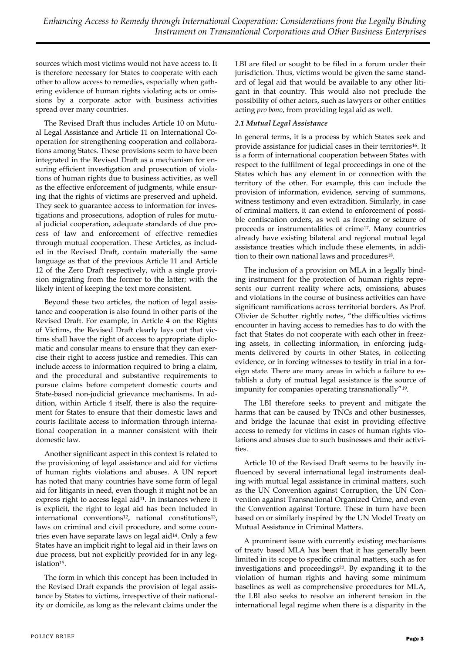sources which most victims would not have access to. It is therefore necessary for States to cooperate with each other to allow access to remedies, especially when gathering evidence of human rights violating acts or omissions by a corporate actor with business activities spread over many countries.

The Revised Draft thus includes Article 10 on Mutual Legal Assistance and Article 11 on International Cooperation for strengthening cooperation and collaborations among States. These provisions seem to have been integrated in the Revised Draft as a mechanism for ensuring efficient investigation and prosecution of violations of human rights due to business activities, as well as the effective enforcement of judgments, while ensuring that the rights of victims are preserved and upheld. They seek to guarantee access to information for investigations and prosecutions, adoption of rules for mutual judicial cooperation, adequate standards of due process of law and enforcement of effective remedies through mutual cooperation. These Articles, as included in the Revised Draft, contain materially the same language as that of the previous Article 11 and Article 12 of the Zero Draft respectively, with a single provision migrating from the former to the latter; with the likely intent of keeping the text more consistent.

Beyond these two articles, the notion of legal assistance and cooperation is also found in other parts of the Revised Draft. For example, in Article 4 on the Rights of Victims, the Revised Draft clearly lays out that victims shall have the right of access to appropriate diplomatic and consular means to ensure that they can exercise their right to access justice and remedies. This can include access to information required to bring a claim, and the procedural and substantive requirements to pursue claims before competent domestic courts and State-based non-judicial grievance mechanisms. In addition, within Article 4 itself, there is also the requirement for States to ensure that their domestic laws and courts facilitate access to information through international cooperation in a manner consistent with their domestic law.

Another significant aspect in this context is related to the provisioning of legal assistance and aid for victims of human rights violations and abuses. A UN report has noted that many countries have some form of legal aid for litigants in need, even though it might not be an express right to access legal aid<sup>11</sup>. In instances where it is explicit, the right to legal aid has been included in international conventions<sup>12</sup>, national constitutions<sup>13</sup>, laws on criminal and civil procedure, and some countries even have separate laws on legal aid14. Only a few States have an implicit right to legal aid in their laws on due process, but not explicitly provided for in any legislation15.

The form in which this concept has been included in the Revised Draft expands the provision of legal assistance by States to victims, irrespective of their nationality or domicile, as long as the relevant claims under the LBI are filed or sought to be filed in a forum under their jurisdiction. Thus, victims would be given the same standard of legal aid that would be available to any other litigant in that country. This would also not preclude the possibility of other actors, such as lawyers or other entities acting *pro bono*, from providing legal aid as well.

## *2.1 Mutual Legal Assistance*

In general terms, it is a process by which States seek and provide assistance for judicial cases in their territories<sup>16</sup>. It is a form of international cooperation between States with respect to the fulfilment of legal proceedings in one of the States which has any element in or connection with the territory of the other. For example, this can include the provision of information, evidence, serving of summons, witness testimony and even extradition. Similarly, in case of criminal matters, it can extend to enforcement of possible confiscation orders, as well as freezing or seizure of proceeds or instrumentalities of crime17. Many countries already have existing bilateral and regional mutual legal assistance treaties which include these elements, in addition to their own national laws and procedures<sup>18</sup>.

The inclusion of a provision on MLA in a legally binding instrument for the protection of human rights represents our current reality where acts, omissions, abuses and violations in the course of business activities can have significant ramifications across territorial borders. As Prof. Olivier de Schutter rightly notes, "the difficulties victims encounter in having access to remedies has to do with the fact that States do not cooperate with each other in freezing assets, in collecting information, in enforcing judgments delivered by courts in other States, in collecting evidence, or in forcing witnesses to testify in trial in a foreign state. There are many areas in which a failure to establish a duty of mutual legal assistance is the source of impunity for companies operating transnationally"19.

The LBI therefore seeks to prevent and mitigate the harms that can be caused by TNCs and other businesses, and bridge the lacunae that exist in providing effective access to remedy for victims in cases of human rights violations and abuses due to such businesses and their activities.

Article 10 of the Revised Draft seems to be heavily influenced by several international legal instruments dealing with mutual legal assistance in criminal matters, such as the UN Convention against Corruption, the UN Convention against Transnational Organized Crime, and even the Convention against Torture. These in turn have been based on or similarly inspired by the UN Model Treaty on Mutual Assistance in Criminal Matters.

A prominent issue with currently existing mechanisms of treaty based MLA has been that it has generally been limited in its scope to specific criminal matters, such as for investigations and proceedings<sup>20</sup>. By expanding it to the violation of human rights and having some minimum baselines as well as comprehensive procedures for MLA, the LBI also seeks to resolve an inherent tension in the international legal regime when there is a disparity in the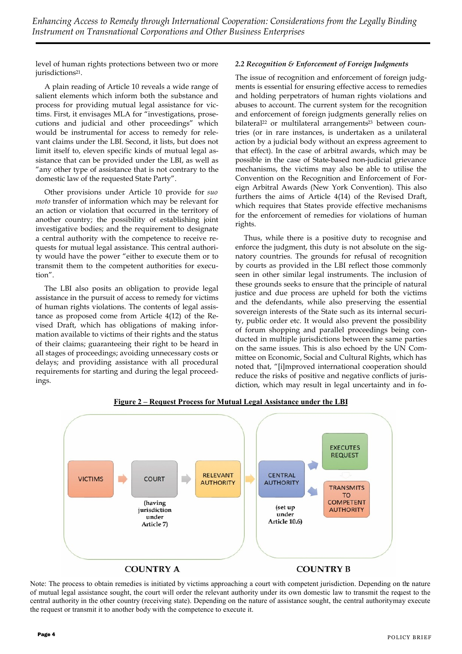level of human rights protections between two or more jurisdictions<sup>21</sup>.

A plain reading of Article 10 reveals a wide range of salient elements which inform both the substance and process for providing mutual legal assistance for victims. First, it envisages MLA for "investigations, prosecutions and judicial and other proceedings" which would be instrumental for access to remedy for relevant claims under the LBI. Second, it lists, but does not limit itself to, eleven specific kinds of mutual legal assistance that can be provided under the LBI, as well as "any other type of assistance that is not contrary to the domestic law of the requested State Party".

Other provisions under Article 10 provide for *suo moto* transfer of information which may be relevant for an action or violation that occurred in the territory of another country; the possibility of establishing joint investigative bodies; and the requirement to designate a central authority with the competence to receive requests for mutual legal assistance. This central authority would have the power "either to execute them or to transmit them to the competent authorities for execution".

The LBI also posits an obligation to provide legal assistance in the pursuit of access to remedy for victims of human rights violations. The contents of legal assistance as proposed come from Article 4(12) of the Revised Draft, which has obligations of making information available to victims of their rights and the status of their claims; guaranteeing their right to be heard in all stages of proceedings; avoiding unnecessary costs or delays; and providing assistance with all procedural requirements for starting and during the legal proceedings.

#### *2.2 Recognition & Enforcement of Foreign Judgments*

The issue of recognition and enforcement of foreign judgments is essential for ensuring effective access to remedies and holding perpetrators of human rights violations and abuses to account. The current system for the recognition and enforcement of foreign judgments generally relies on bilateral<sup>22</sup> or multilateral arrangements<sup>23</sup> between countries (or in rare instances, is undertaken as a unilateral action by a judicial body without an express agreement to that effect). In the case of arbitral awards, which may be possible in the case of State-based non-judicial grievance mechanisms, the victims may also be able to utilise the Convention on the Recognition and Enforcement of Foreign Arbitral Awards (New York Convention). This also furthers the aims of Article 4(14) of the Revised Draft, which requires that States provide effective mechanisms for the enforcement of remedies for violations of human rights.

Thus, while there is a positive duty to recognise and enforce the judgment, this duty is not absolute on the signatory countries. The grounds for refusal of recognition by courts as provided in the LBI reflect those commonly seen in other similar legal instruments. The inclusion of these grounds seeks to ensure that the principle of natural justice and due process are upheld for both the victims and the defendants, while also preserving the essential sovereign interests of the State such as its internal security, public order etc. It would also prevent the possibility of forum shopping and parallel proceedings being conducted in multiple jurisdictions between the same parties on the same issues. This is also echoed by the UN Committee on Economic, Social and Cultural Rights, which has noted that, "[i]mproved international cooperation should reduce the risks of positive and negative conflicts of jurisdiction, which may result in legal uncertainty and in fo-



**Figure 2 – Request Process for Mutual Legal Assistance under the LBI**

Note: The process to obtain remedies is initiated by victims approaching a court with competent jurisdiction. Depending on the nature of mutual legal assistance sought, the court will order the relevant authority under its own domestic law to transmit the request to the central authority in the other country (receiving state). Depending on the nature of assistance sought, the central authoritymay execute the request or transmit it to another body with the competence to execute it.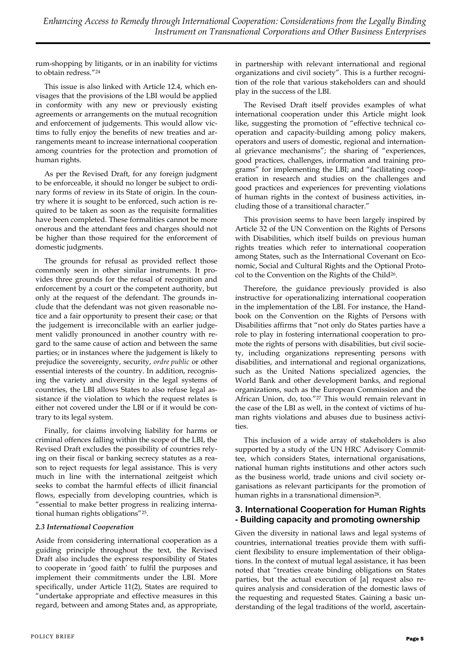rum-shopping by litigants, or in an inability for victims to obtain redress."<sup>24</sup>

This issue is also linked with Article 12.4, which envisages that the provisions of the LBI would be applied in conformity with any new or previously existing agreements or arrangements on the mutual recognition and enforcement of judgements. This would allow victims to fully enjoy the benefits of new treaties and arrangements meant to increase international cooperation among countries for the protection and promotion of human rights.

As per the Revised Draft, for any foreign judgment to be enforceable, it should no longer be subject to ordinary forms of review in its State of origin. In the country where it is sought to be enforced, such action is required to be taken as soon as the requisite formalities have been completed. These formalities cannot be more onerous and the attendant fees and charges should not be higher than those required for the enforcement of domestic judgments.

The grounds for refusal as provided reflect those commonly seen in other similar instruments. It provides three grounds for the refusal of recognition and enforcement by a court or the competent authority, but only at the request of the defendant. The grounds include that the defendant was not given reasonable notice and a fair opportunity to present their case; or that the judgement is irreconcilable with an earlier judgement validly pronounced in another country with regard to the same cause of action and between the same parties; or in instances where the judgement is likely to prejudice the sovereignty, security, *ordre public* or other essential interests of the country. In addition, recognising the variety and diversity in the legal systems of countries, the LBI allows States to also refuse legal assistance if the violation to which the request relates is either not covered under the LBI or if it would be contrary to its legal system.

Finally, for claims involving liability for harms or criminal offences falling within the scope of the LBI, the Revised Draft excludes the possibility of countries relying on their fiscal or banking secrecy statutes as a reason to reject requests for legal assistance. This is very much in line with the international zeitgeist which seeks to combat the harmful effects of illicit financial flows, especially from developing countries, which is "essential to make better progress in realizing international human rights obligations"25.

## *2.3 International Cooperation*

Aside from considering international cooperation as a guiding principle throughout the text, the Revised Draft also includes the express responsibility of States to cooperate in 'good faith' to fulfil the purposes and implement their commitments under the LBI. More specifically, under Article 11(2), States are required to "undertake appropriate and effective measures in this regard, between and among States and, as appropriate,

in partnership with relevant international and regional organizations and civil society". This is a further recognition of the role that various stakeholders can and should play in the success of the LBI.

The Revised Draft itself provides examples of what international cooperation under this Article might look like, suggesting the promotion of "effective technical cooperation and capacity-building among policy makers, operators and users of domestic, regional and international grievance mechanisms"; the sharing of "experiences, good practices, challenges, information and training programs" for implementing the LBI; and "facilitating cooperation in research and studies on the challenges and good practices and experiences for preventing violations of human rights in the context of business activities, including those of a transitional character."

This provision seems to have been largely inspired by Article 32 of the UN Convention on the Rights of Persons with Disabilities, which itself builds on previous human rights treaties which refer to international cooperation among States, such as the International Covenant on Economic, Social and Cultural Rights and the Optional Protocol to the Convention on the Rights of the Child26.

Therefore, the guidance previously provided is also instructive for operationalizing international cooperation in the implementation of the LBI. For instance, the Handbook on the Convention on the Rights of Persons with Disabilities affirms that "not only do States parties have a role to play in fostering international cooperation to promote the rights of persons with disabilities, but civil society, including organizations representing persons with disabilities, and international and regional organizations, such as the United Nations specialized agencies, the World Bank and other development banks, and regional organizations, such as the European Commission and the African Union, do, too."<sup>27</sup> This would remain relevant in the case of the LBI as well, in the context of victims of human rights violations and abuses due to business activities.

This inclusion of a wide array of stakeholders is also supported by a study of the UN HRC Advisory Committee, which considers States, international organisations, national human rights institutions and other actors such as the business world, trade unions and civil society organisations as relevant participants for the promotion of human rights in a transnational dimension<sup>28</sup>.

## **3. International Cooperation for Human Rights - Building capacity and promoting ownership**

Given the diversity in national laws and legal systems of countries, international treaties provide them with sufficient flexibility to ensure implementation of their obligations. In the context of mutual legal assistance, it has been noted that "treaties create binding obligations on States parties, but the actual execution of [a] request also requires analysis and consideration of the domestic laws of the requesting and requested States. Gaining a basic understanding of the legal traditions of the world, ascertain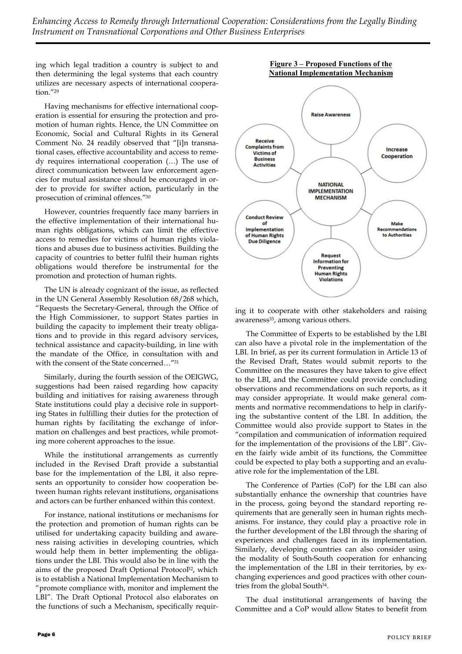*Enhancing Access to Remedy through International Cooperation: Considerations from the Legally Binding Instrument on Transnational Corporations and Other Business Enterprises*

ing which legal tradition a country is subject to and then determining the legal systems that each country utilizes are necessary aspects of international cooperation."<sup>29</sup>

Having mechanisms for effective international cooperation is essential for ensuring the protection and promotion of human rights. Hence, the UN Committee on Economic, Social and Cultural Rights in its General Comment No. 24 readily observed that "[i]n transnational cases, effective accountability and access to remedy requires international cooperation (…) The use of direct communication between law enforcement agencies for mutual assistance should be encouraged in order to provide for swifter action, particularly in the prosecution of criminal offences."<sup>30</sup>

However, countries frequently face many barriers in the effective implementation of their international human rights obligations, which can limit the effective access to remedies for victims of human rights violations and abuses due to business activities. Building the capacity of countries to better fulfil their human rights obligations would therefore be instrumental for the promotion and protection of human rights.

The UN is already cognizant of the issue, as reflected in the UN General Assembly Resolution 68/268 which, "Requests the Secretary-General, through the Office of the High Commissioner, to support States parties in building the capacity to implement their treaty obligations and to provide in this regard advisory services, technical assistance and capacity-building, in line with the mandate of the Office, in consultation with and with the consent of the State concerned…"<sup>31</sup>

Similarly, during the fourth session of the OEIGWG, suggestions had been raised regarding how capacity building and initiatives for raising awareness through State institutions could play a decisive role in supporting States in fulfilling their duties for the protection of human rights by facilitating the exchange of information on challenges and best practices, while promoting more coherent approaches to the issue.

While the institutional arrangements as currently included in the Revised Draft provide a substantial base for the implementation of the LBI, it also represents an opportunity to consider how cooperation between human rights relevant institutions, organisations and actors can be further enhanced within this context.

For instance, national institutions or mechanisms for the protection and promotion of human rights can be utilised for undertaking capacity building and awareness raising activities in developing countries, which would help them in better implementing the obligations under the LBI. This would also be in line with the aims of the proposed Draft Optional Protoco<sup>B2</sup>, which is to establish a National Implementation Mechanism to "promote compliance with, monitor and implement the LBI". The Draft Optional Protocol also elaborates on the functions of such a Mechanism, specifically requir-



ing it to cooperate with other stakeholders and raising awareness<sup>33</sup>, among various others.

The Committee of Experts to be established by the LBI can also have a pivotal role in the implementation of the LBI. In brief, as per its current formulation in Article 13 of the Revised Draft, States would submit reports to the Committee on the measures they have taken to give effect to the LBI, and the Committee could provide concluding observations and recommendations on such reports, as it may consider appropriate. It would make general comments and normative recommendations to help in clarifying the substantive content of the LBI. In addition, the Committee would also provide support to States in the "compilation and communication of information required for the implementation of the provisions of the LBI". Given the fairly wide ambit of its functions, the Committee could be expected to play both a supporting and an evaluative role for the implementation of the LBI.

The Conference of Parties (CoP) for the LBI can also substantially enhance the ownership that countries have in the process, going beyond the standard reporting requirements that are generally seen in human rights mechanisms. For instance, they could play a proactive role in the further development of the LBI through the sharing of experiences and challenges faced in its implementation. Similarly, developing countries can also consider using the modality of South-South cooperation for enhancing the implementation of the LBI in their territories, by exchanging experiences and good practices with other countries from the global South34.

The dual institutional arrangements of having the Committee and a CoP would allow States to benefit from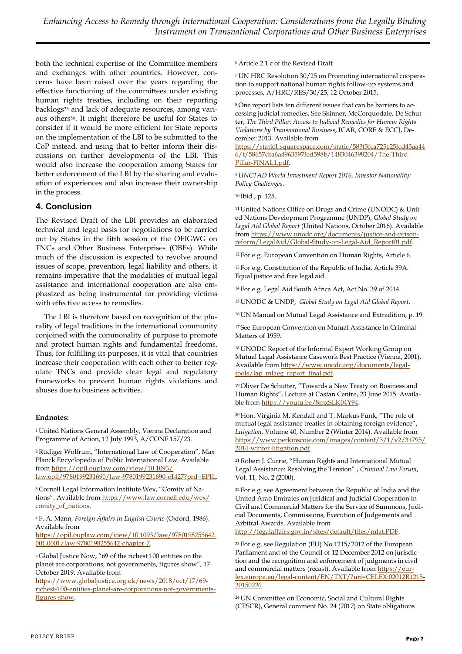both the technical expertise of the Committee members and exchanges with other countries. However, concerns have been raised over the years regarding the effective functioning of the committees under existing human rights treaties, including on their reporting backlogs<sup>35</sup> and lack of adequate resources, among various others36. It might therefore be useful for States to consider if it would be more efficient for State reports on the implementation of the LBI to be submitted to the CoP instead, and using that to better inform their discussions on further developments of the LBI. This would also increase the cooperation among States for better enforcement of the LBI by the sharing and evaluation of experiences and also increase their ownership in the process.

## **4. Conclusion**

The Revised Draft of the LBI provides an elaborated technical and legal basis for negotiations to be carried out by States in the fifth session of the OEIGWG on TNCs and Other Business Enterprises (OBEs). While much of the discussion is expected to revolve around issues of scope, prevention, legal liability and others, it remains imperative that the modalities of mutual legal assistance and international cooperation are also emphasized as being instrumental for providing victims with effective access to remedies.

The LBI is therefore based on recognition of the plurality of legal traditions in the international community conjoined with the commonality of purpose to promote and protect human rights and fundamental freedoms. Thus, for fulfilling its purposes, it is vital that countries increase their cooperation with each other to better regulate TNCs and provide clear legal and regulatory frameworks to prevent human rights violations and abuses due to business activities.

#### **Endnotes:**

<sup>1</sup>United Nations General Assembly, Vienna Declaration and Programme of Action, 12 July 1993, A/CONF.157/23.

<sup>2</sup>Rüdiger Wolfrum, "International Law of Cooperation", Max Planck Encyclopedia of Public International Law. Available from [https://opil.ouplaw.com/view/10.1093/](https://opil.ouplaw.com/view/10.1093/law:epil/9780199231690/law-9780199231690-e1427?prd=EPIL) [law:epil/9780199231690/law-9780199231690-e1427?prd=EPIL.](https://opil.ouplaw.com/view/10.1093/law:epil/9780199231690/law-9780199231690-e1427?prd=EPIL)

3 Cornell Legal Information Institute Wex, "Comity of Nations". Available from [https://www.law.cornell.edu/wex/](https://www.law.cornell.edu/wex/comity_of_nations) [comity\\_of\\_nations.](https://www.law.cornell.edu/wex/comity_of_nations)

<sup>4</sup>F. A. Mann, *Foreign Affairs in English Courts* (Oxford, 1986). Available from

[https://opil.ouplaw.com/view/10.1093/law/9780198255642.](https://opil.ouplaw.com/view/10.1093/law/9780198255642.001.0001/law-9780198255642-chapter-7) [001.0001/law-9780198255642-chapter-7.](https://opil.ouplaw.com/view/10.1093/law/9780198255642.001.0001/law-9780198255642-chapter-7)

<sup>5</sup>Global Justice Now, "69 of the richest 100 entities on the planet are corporations, not governments, figures show", 17 October 2019. Available from

[https://www.globaljustice.org.uk/news/2018/oct/17/69](https://www.globaljustice.org.uk/news/2018/oct/17/69-richest-100-entities-planet-are-corporations-not-governments-figures-show) [richest-100-entities-planet-are-corporations-not-governments](https://www.globaljustice.org.uk/news/2018/oct/17/69-richest-100-entities-planet-are-corporations-not-governments-figures-show)[figures-show.](https://www.globaljustice.org.uk/news/2018/oct/17/69-richest-100-entities-planet-are-corporations-not-governments-figures-show)

<sup>6</sup>Article 2.1.c of the Revised Draft

7 UN HRC Resolution 30/25 on Promoting international cooperation to support national human rights follow-up systems and processes, A/HRC/RES/30/25, 12 October 2015.

8 One report lists ten different issues that can be barriers to accessing judicial remedies. See Skinner, McCorquodale, De Schutter, *The Third Pillar: Access to Judicial Remedies for Human Rights Violations by Transnational Business*, ICAR, CORE & ECCJ, December 2013. Available from

[https://static1.squarespace.com/static/583f3fca725e25fcd45aa44](https://static1.squarespace.com/static/583f3fca725e25fcd45aa446/t/58657dfa6a4963597fed598b/1483046398204/The-Third-Pillar-FINAL1.pdf) [6/t/58657dfa6a4963597fed598b/1483046398204/The-Third-](https://static1.squarespace.com/static/583f3fca725e25fcd45aa446/t/58657dfa6a4963597fed598b/1483046398204/The-Third-Pillar-FINAL1.pdf)[Pillar-FINAL1.pdf.](https://static1.squarespace.com/static/583f3fca725e25fcd45aa446/t/58657dfa6a4963597fed598b/1483046398204/The-Third-Pillar-FINAL1.pdf)

*<sup>9</sup>UNCTAD World Investment Report 2016, Investor Nationality: Policy Challenges*.

<sup>10</sup>Ibid., p. 125.

11 United Nations Office on Drugs and Crime (UNODC) & United Nations Development Programme (UNDP), *Global Study on Legal Aid Global Report* (United Nations, October 2016). Available from [https://www.unodc.org/documents/justice-and-prison](https://www.unodc.org/documents/justice-and-prison-reform/LegalAid/Global-Study-on-Legal-Aid_Report01.pdf)[reform/LegalAid/Global-Study-on-Legal-Aid\\_Report01.pdf.](https://www.unodc.org/documents/justice-and-prison-reform/LegalAid/Global-Study-on-Legal-Aid_Report01.pdf)

<sup>12</sup>For e.g. European Convention on Human Rights, Article 6.

<sup>13</sup>For e.g. Constitution of the Republic of India, Article 39A. Equal justice and free legal aid.

<sup>14</sup>For e.g. Legal Aid South Africa Act, Act No. 39 of 2014.

<sup>15</sup>UNODC & UNDP, *Global Study on Legal Aid Global Report*.

<sup>16</sup>UN Manual on Mutual Legal Assistance and Extradition, p. 19.

<sup>17</sup>See European Convention on Mutual Assistance in Criminal Matters of 1959.

<sup>18</sup>UNODC Report of the Informal Expert Working Group on Mutual Legal Assistance Casework Best Practice (Vienna, 2001). Available from [https://www.unodc.org/documents/legal](https://www.unodc.org/documents/legal-tools/lap_mlaeg_report_final.pdf)[tools/lap\\_mlaeg\\_report\\_final.pdf.](https://www.unodc.org/documents/legal-tools/lap_mlaeg_report_final.pdf)

<sup>19</sup>Oliver De Schutter, "Towards a New Treaty on Business and Human Rights", Lecture at Castan Centre, 23 June 2015. Available from [https://youtu.be/8mxSLK04Y94.](https://youtu.be/8mxSLK04Y94)

<sup>20</sup>Hon. Virginia M. Kendall and T. Markus Funk, "The role of mutual legal assistance treaties in obtaining foreign evidence", *Litigation*, Volume 40, Number 2 (Winter 2014). Available from [https://www.perkinscoie.com/images/content/3/1/v2/31795/](https://www.perkinscoie.com/images/content/3/1/v2/31795/2014-winter-litigation.pdf) [2014-winter-litigation.pdf.](https://www.perkinscoie.com/images/content/3/1/v2/31795/2014-winter-litigation.pdf)

<sup>21</sup>Robert J. Currie, "Human Rights and International Mutual Legal Assistance: Resolving the Tension" , *Criminal Law Forum*, Vol. 11, No. 2 (2000).

<sup>22</sup>For e.g. see Agreement between the Republic of India and the United Arab Emirates on Juridical and Judicial Cooperation in Civil and Commercial Matters for the Service of Summons, Judicial Documents, Commissions, Execution of Judgements and Arbitral Awards. Available from

[http://legalaffairs.gov.in/sites/default/files/mlat.PDF.](http://legalaffairs.gov.in/sites/default/files/mlat.PDF)

<sup>23</sup>For e.g. see Regulation (EU) No 1215/2012 of the European Parliament and of the Council of 12 December 2012 on jurisdiction and the recognition and enforcement of judgments in civil and commercial matters (recast). Available from [https://eur](https://eur-lex.europa.eu/legal-content/EN/TXT/?uri=CELEX:02012R1215-20150226)[lex.europa.eu/legal-content/EN/TXT/?uri=CELEX:02012R1215-](https://eur-lex.europa.eu/legal-content/EN/TXT/?uri=CELEX:02012R1215-20150226) [20150226.](https://eur-lex.europa.eu/legal-content/EN/TXT/?uri=CELEX:02012R1215-20150226)

<sup>24</sup>UN Committee on Economic, Social and Cultural Rights (CESCR), General comment No. 24 (2017) on State obligations